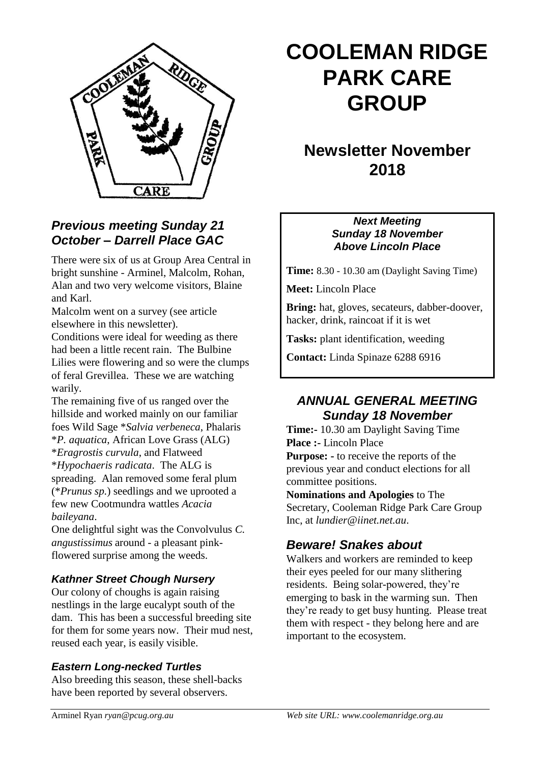

## *Previous meeting Sunday 21 October – Darrell Place GAC*

There were six of us at Group Area Central in bright sunshine - Arminel, Malcolm, Rohan, Alan and two very welcome visitors, Blaine and Karl.

Malcolm went on a survey (see article elsewhere in this newsletter).

Conditions were ideal for weeding as there had been a little recent rain. The Bulbine Lilies were flowering and so were the clumps of feral Grevillea. These we are watching warily.

The remaining five of us ranged over the hillside and worked mainly on our familiar foes Wild Sage \**Salvia verbeneca*, Phalaris \**P. aquatica*, African Love Grass (ALG) \**Eragrostis curvula*, and Flatweed \**Hypochaeris radicata*. The ALG is spreading. Alan removed some feral plum (\**Prunus sp.*) seedlings and we uprooted a few new Cootmundra wattles *Acacia baileyana*.

One delightful sight was the Convolvulus *C. angustissimus* around - a pleasant pinkflowered surprise among the weeds.

#### *Kathner Street Chough Nursery*

Our colony of choughs is again raising nestlings in the large eucalypt south of the dam. This has been a successful breeding site for them for some years now. Their mud nest, reused each year, is easily visible.

#### *Eastern Long-necked Turtles*

Also breeding this season, these shell-backs have been reported by several observers.

# **COOLEMAN RIDGE PARK CARE GROUP**

## **Newsletter November 2018**

#### *Next Meeting Sunday 18 November Above Lincoln Place*

**Time:** 8.30 - 10.30 am (Daylight Saving Time)

**Meet:** Lincoln Place

**Bring:** hat, gloves, secateurs, dabber-doover, hacker, drink, raincoat if it is wet

**Tasks:** plant identification, weeding

**Contact:** Linda Spinaze 6288 6916

## *ANNUAL GENERAL MEETING Sunday 18 November*

**Time:-** 10.30 am Daylight Saving Time **Place :-** Lincoln Place

**Purpose: -** to receive the reports of the previous year and conduct elections for all committee positions.

**Nominations and Apologies** to The Secretary, Cooleman Ridge Park Care Group Inc, at *lundier@iinet.net.au*.

## *Beware! Snakes about*

Walkers and workers are reminded to keep their eyes peeled for our many slithering residents. Being solar-powered, they"re emerging to bask in the warming sun. Then they"re ready to get busy hunting. Please treat them with respect - they belong here and are important to the ecosystem.